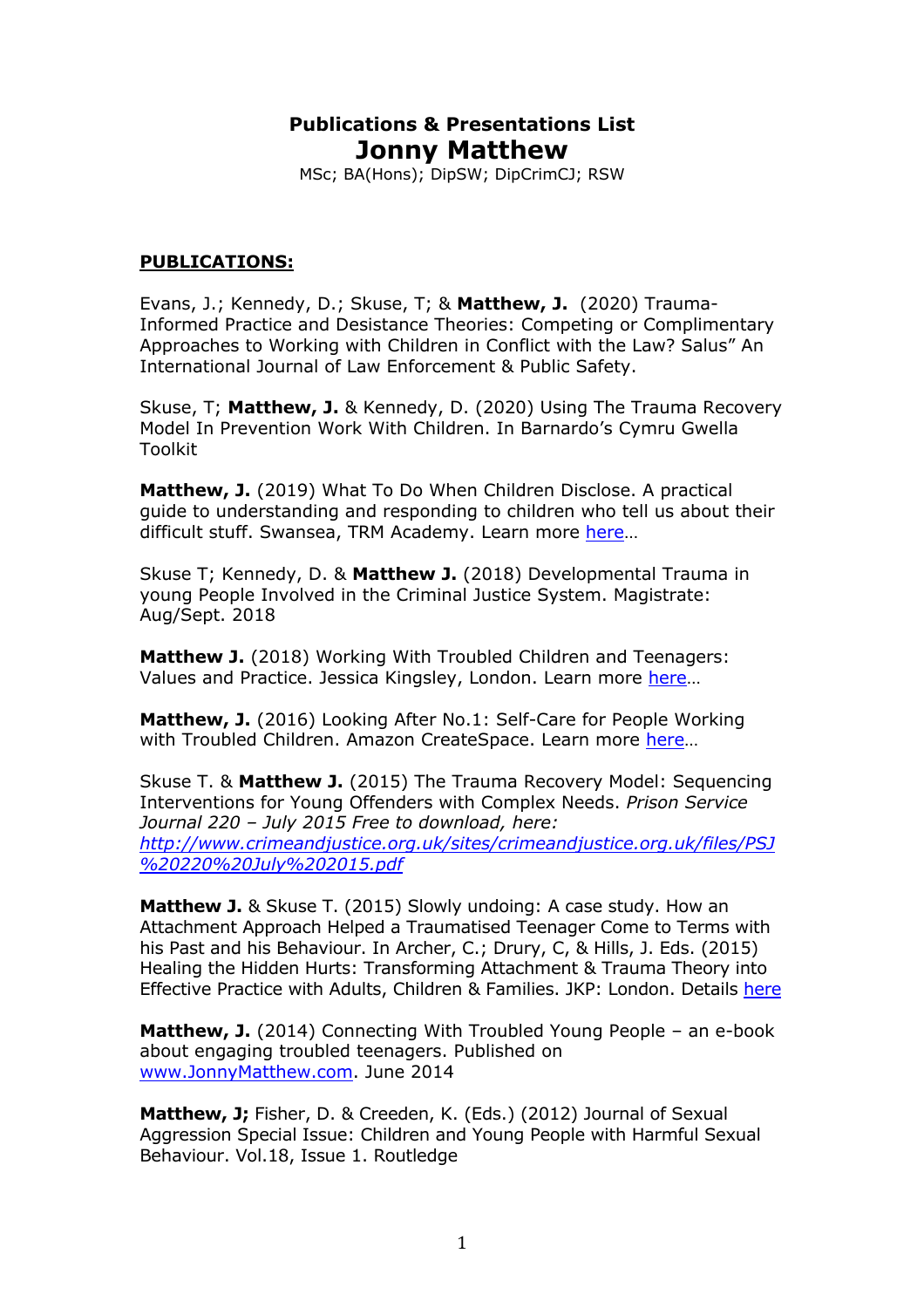# **Publications & Presentations List Jonny Matthew**

MSc; BA(Hons); DipSW; DipCrimCJ; RSW

## **PUBLICATIONS:**

Evans, J.; Kennedy, D.; Skuse, T; & **Matthew, J.** (2020) Trauma-Informed Practice and Desistance Theories: Competing or Complimentary Approaches to Working with Children in Conflict with the Law? Salus" An International Journal of Law Enforcement & Public Safety.

Skuse, T; **Matthew, J.** & Kennedy, D. (2020) Using The Trauma Recovery Model In Prevention Work With Children. In Barnardo's Cymru Gwella Toolkit

**Matthew, J.** (2019) What To Do When Children Disclose. A practical guide to understanding and responding to children who tell us about their difficult stuff. Swansea, TRM Academy. Learn more here...

Skuse T; Kennedy, D. & **Matthew J.** (2018) Developmental Trauma in young People Involved in the Criminal Justice System. Magistrate: Aug/Sept. 2018

**Matthew J.** (2018) Working With Troubled Children and Teenagers: Values and Practice. Jessica Kingsley, London. Learn more here…

**Matthew, J.** (2016) Looking After No.1: Self-Care for People Working with Troubled Children. Amazon CreateSpace. Learn more here…

Skuse T. & **Matthew J.** (2015) The Trauma Recovery Model: Sequencing Interventions for Young Offenders with Complex Needs. *Prison Service Journal 220 – July 2015 Free to download, here: http://www.crimeandjustice.org.uk/sites/crimeandjustice.org.uk/files/PSJ %20220%20July%202015.pdf*

**Matthew J.** & Skuse T. (2015) Slowly undoing: A case study. How an Attachment Approach Helped a Traumatised Teenager Come to Terms with his Past and his Behaviour. In Archer, C.; Drury, C, & Hills, J. Eds. (2015) Healing the Hidden Hurts: Transforming Attachment & Trauma Theory into Effective Practice with Adults, Children & Families. JKP: London. Details here

**Matthew, J.** (2014) Connecting With Troubled Young People – an e-book about engaging troubled teenagers. Published on www.JonnyMatthew.com. June 2014

**Matthew, J;** Fisher, D. & Creeden, K. (Eds.) (2012) Journal of Sexual Aggression Special Issue: Children and Young People with Harmful Sexual Behaviour. Vol.18, Issue 1. Routledge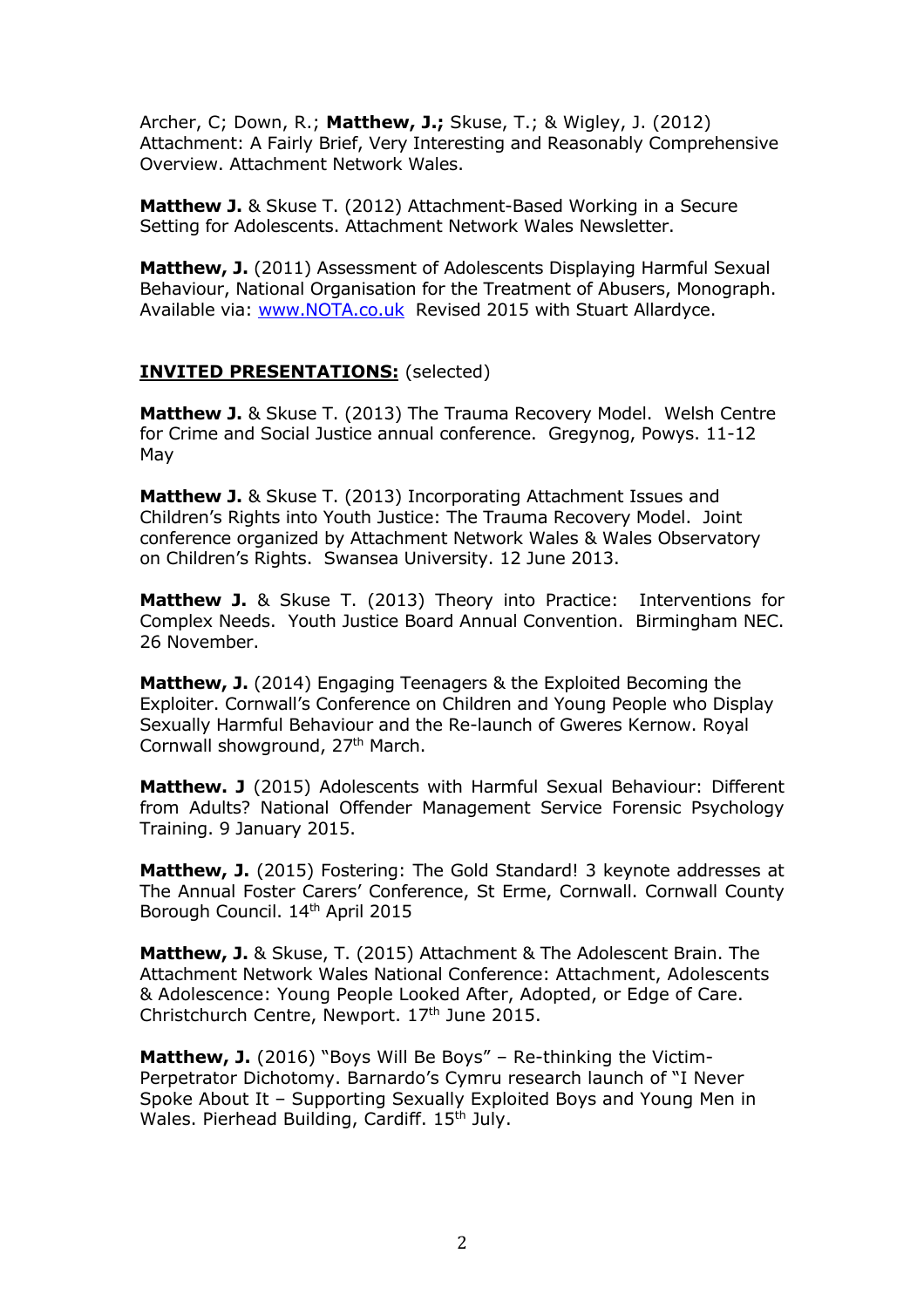Archer, C; Down, R.; **Matthew, J.;** Skuse, T.; & Wigley, J. (2012) Attachment: A Fairly Brief, Very Interesting and Reasonably Comprehensive Overview. Attachment Network Wales.

**Matthew J.** & Skuse T. (2012) Attachment-Based Working in a Secure Setting for Adolescents. Attachment Network Wales Newsletter.

Matthew, J. (2011) Assessment of Adolescents Displaying Harmful Sexual Behaviour, National Organisation for the Treatment of Abusers, Monograph. Available via: www.NOTA.co.uk Revised 2015 with Stuart Allardyce.

## **INVITED PRESENTATIONS:** (selected)

**Matthew J.** & Skuse T. (2013) The Trauma Recovery Model. Welsh Centre for Crime and Social Justice annual conference. Gregynog, Powys. 11-12 May

**Matthew J.** & Skuse T. (2013) Incorporating Attachment Issues and Children's Rights into Youth Justice: The Trauma Recovery Model. Joint conference organized by Attachment Network Wales & Wales Observatory on Children's Rights. Swansea University. 12 June 2013.

**Matthew J.** & Skuse T. (2013) Theory into Practice: Interventions for Complex Needs. Youth Justice Board Annual Convention. Birmingham NEC. 26 November.

**Matthew, J.** (2014) Engaging Teenagers & the Exploited Becoming the Exploiter. Cornwall's Conference on Children and Young People who Display Sexually Harmful Behaviour and the Re-launch of Gweres Kernow. Royal Cornwall showground, 27<sup>th</sup> March.

**Matthew. J** (2015) Adolescents with Harmful Sexual Behaviour: Different from Adults? National Offender Management Service Forensic Psychology Training. 9 January 2015.

**Matthew, J.** (2015) Fostering: The Gold Standard! 3 keynote addresses at The Annual Foster Carers' Conference, St Erme, Cornwall. Cornwall County Borough Council. 14<sup>th</sup> April 2015

**Matthew, J.** & Skuse, T. (2015) Attachment & The Adolescent Brain. The Attachment Network Wales National Conference: Attachment, Adolescents & Adolescence: Young People Looked After, Adopted, or Edge of Care. Christchurch Centre, Newport. 17<sup>th</sup> June 2015.

**Matthew, J.** (2016) "Boys Will Be Boys" – Re-thinking the Victim-Perpetrator Dichotomy. Barnardo's Cymru research launch of "I Never Spoke About It – Supporting Sexually Exploited Boys and Young Men in Wales. Pierhead Building, Cardiff. 15th July.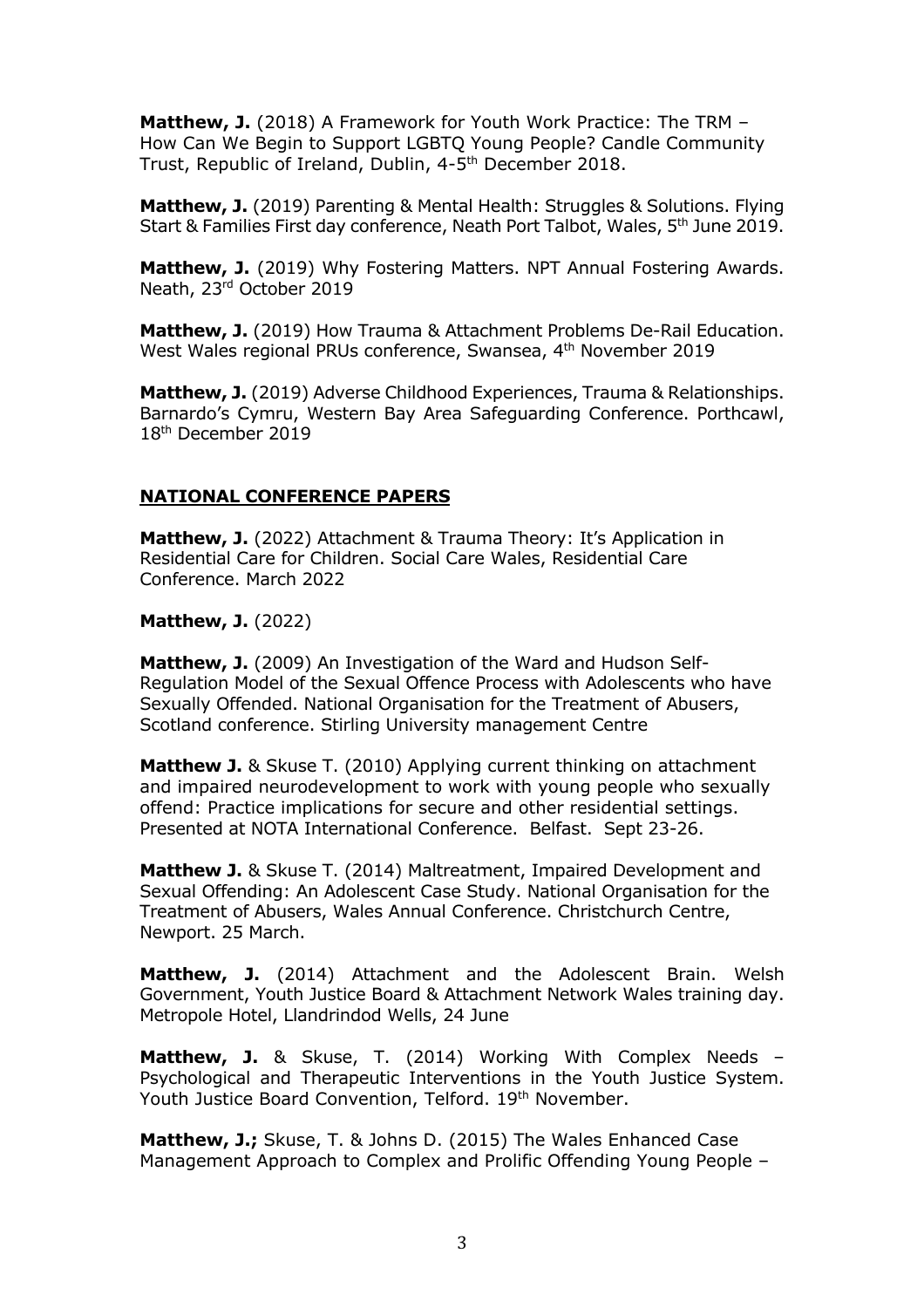**Matthew, J.** (2018) A Framework for Youth Work Practice: The TRM -How Can We Begin to Support LGBTQ Young People? Candle Community Trust, Republic of Ireland, Dublin, 4-5th December 2018.

**Matthew, J.** (2019) Parenting & Mental Health: Struggles & Solutions. Flying Start & Families First day conference, Neath Port Talbot, Wales, 5<sup>th</sup> June 2019.

**Matthew, J.** (2019) Why Fostering Matters. NPT Annual Fostering Awards. Neath, 23rd October 2019

**Matthew, J.** (2019) How Trauma & Attachment Problems De-Rail Education. West Wales regional PRUs conference, Swansea, 4<sup>th</sup> November 2019

**Matthew, J.** (2019) Adverse Childhood Experiences, Trauma & Relationships. Barnardo's Cymru, Western Bay Area Safeguarding Conference. Porthcawl, 18th December 2019

# **NATIONAL CONFERENCE PAPERS**

**Matthew, J.** (2022) Attachment & Trauma Theory: It's Application in Residential Care for Children. Social Care Wales, Residential Care Conference. March 2022

#### **Matthew, J.** (2022)

**Matthew, J.** (2009) An Investigation of the Ward and Hudson Self-Regulation Model of the Sexual Offence Process with Adolescents who have Sexually Offended. National Organisation for the Treatment of Abusers, Scotland conference. Stirling University management Centre

**Matthew J.** & Skuse T. (2010) Applying current thinking on attachment and impaired neurodevelopment to work with young people who sexually offend: Practice implications for secure and other residential settings. Presented at NOTA International Conference. Belfast. Sept 23-26.

**Matthew J.** & Skuse T. (2014) Maltreatment, Impaired Development and Sexual Offending: An Adolescent Case Study. National Organisation for the Treatment of Abusers, Wales Annual Conference. Christchurch Centre, Newport. 25 March.

**Matthew, J.** (2014) Attachment and the Adolescent Brain. Welsh Government, Youth Justice Board & Attachment Network Wales training day. Metropole Hotel, Llandrindod Wells, 24 June

**Matthew, J.** & Skuse, T. (2014) Working With Complex Needs – Psychological and Therapeutic Interventions in the Youth Justice System. Youth Justice Board Convention, Telford. 19th November.

**Matthew, J.;** Skuse, T. & Johns D. (2015) The Wales Enhanced Case Management Approach to Complex and Prolific Offending Young People –